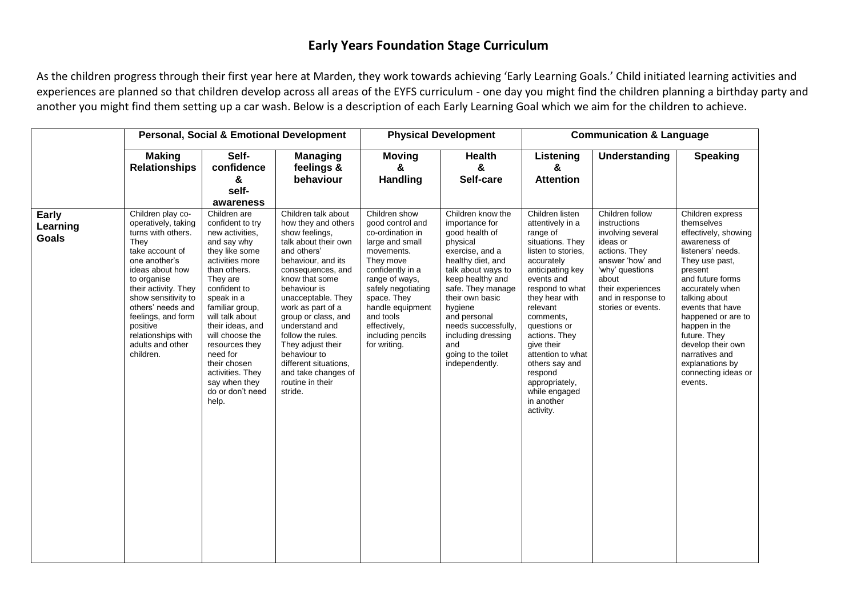## **Early Years Foundation Stage Curriculum**

As the children progress through their first year here at Marden, they work towards achieving 'Early Learning Goals.' Child initiated learning activities and experiences are planned so that children develop across all areas of the EYFS curriculum - one day you might find the children planning a birthday party and another you might find them setting up a car wash. Below is a description of each Early Learning Goal which we aim for the children to achieve.

|                                   | <b>Personal, Social &amp; Emotional Development</b>                                                                                                                                                                                                                                                       |                                                                                                                                                                                                                                                                                                                                                                |                                                                                                                                                                                                                                                                                                                                                                                                               |                                                                                                                                                                                                                                                                      | <b>Physical Development</b>                                                                                                                                                                                                                                                                                         | <b>Communication &amp; Language</b>                                                                                                                                                                                                                                                                                                                                    |                                                                                                                                                                                                    |                                                                                                                                                                                                                                                                                                                                                         |  |
|-----------------------------------|-----------------------------------------------------------------------------------------------------------------------------------------------------------------------------------------------------------------------------------------------------------------------------------------------------------|----------------------------------------------------------------------------------------------------------------------------------------------------------------------------------------------------------------------------------------------------------------------------------------------------------------------------------------------------------------|---------------------------------------------------------------------------------------------------------------------------------------------------------------------------------------------------------------------------------------------------------------------------------------------------------------------------------------------------------------------------------------------------------------|----------------------------------------------------------------------------------------------------------------------------------------------------------------------------------------------------------------------------------------------------------------------|---------------------------------------------------------------------------------------------------------------------------------------------------------------------------------------------------------------------------------------------------------------------------------------------------------------------|------------------------------------------------------------------------------------------------------------------------------------------------------------------------------------------------------------------------------------------------------------------------------------------------------------------------------------------------------------------------|----------------------------------------------------------------------------------------------------------------------------------------------------------------------------------------------------|---------------------------------------------------------------------------------------------------------------------------------------------------------------------------------------------------------------------------------------------------------------------------------------------------------------------------------------------------------|--|
|                                   | <b>Making</b><br><b>Relationships</b>                                                                                                                                                                                                                                                                     | Self-<br>confidence<br>&<br>self-<br>awareness                                                                                                                                                                                                                                                                                                                 | <b>Managing</b><br>feelings &<br>behaviour                                                                                                                                                                                                                                                                                                                                                                    | <b>Moving</b><br>&<br><b>Handling</b>                                                                                                                                                                                                                                | <b>Health</b><br>$\boldsymbol{\alpha}$<br>Self-care                                                                                                                                                                                                                                                                 | Listening<br>&<br><b>Attention</b>                                                                                                                                                                                                                                                                                                                                     | Understanding                                                                                                                                                                                      | <b>Speaking</b>                                                                                                                                                                                                                                                                                                                                         |  |
| Early<br>Learning<br><b>Goals</b> | Children play co-<br>operatively, taking<br>turns with others.<br>They<br>take account of<br>one another's<br>ideas about how<br>to organise<br>their activity. They<br>show sensitivity to<br>others' needs and<br>feelings, and form<br>positive<br>relationships with<br>adults and other<br>children. | Children are<br>confident to try<br>new activities.<br>and say why<br>they like some<br>activities more<br>than others.<br>They are<br>confident to<br>speak in a<br>familiar group,<br>will talk about<br>their ideas, and<br>will choose the<br>resources they<br>need for<br>their chosen<br>activities. They<br>say when they<br>do or don't need<br>help. | Children talk about<br>how they and others<br>show feelings,<br>talk about their own<br>and others'<br>behaviour, and its<br>consequences, and<br>know that some<br>behaviour is<br>unacceptable. They<br>work as part of a<br>group or class, and<br>understand and<br>follow the rules.<br>They adjust their<br>behaviour to<br>different situations,<br>and take changes of<br>routine in their<br>stride. | Children show<br>good control and<br>co-ordination in<br>large and small<br>movements.<br>They move<br>confidently in a<br>range of ways,<br>safely negotiating<br>space. They<br>handle equipment<br>and tools<br>effectively,<br>including pencils<br>for writing. | Children know the<br>importance for<br>good health of<br>physical<br>exercise, and a<br>healthy diet, and<br>talk about ways to<br>keep healthy and<br>safe. They manage<br>their own basic<br>hygiene<br>and personal<br>needs successfully,<br>including dressing<br>and<br>going to the toilet<br>independently. | Children listen<br>attentively in a<br>range of<br>situations. They<br>listen to stories,<br>accurately<br>anticipating key<br>events and<br>respond to what<br>they hear with<br>relevant<br>comments,<br>questions or<br>actions. They<br>give their<br>attention to what<br>others say and<br>respond<br>appropriately,<br>while engaged<br>in another<br>activity. | Children follow<br>instructions<br>involving several<br>ideas or<br>actions. They<br>answer 'how' and<br>'why' questions<br>about<br>their experiences<br>and in response to<br>stories or events. | Children express<br>themselves<br>effectively, showing<br>awareness of<br>listeners' needs.<br>They use past,<br>present<br>and future forms<br>accurately when<br>talking about<br>events that have<br>happened or are to<br>happen in the<br>future. They<br>develop their own<br>narratives and<br>explanations by<br>connecting ideas or<br>events. |  |